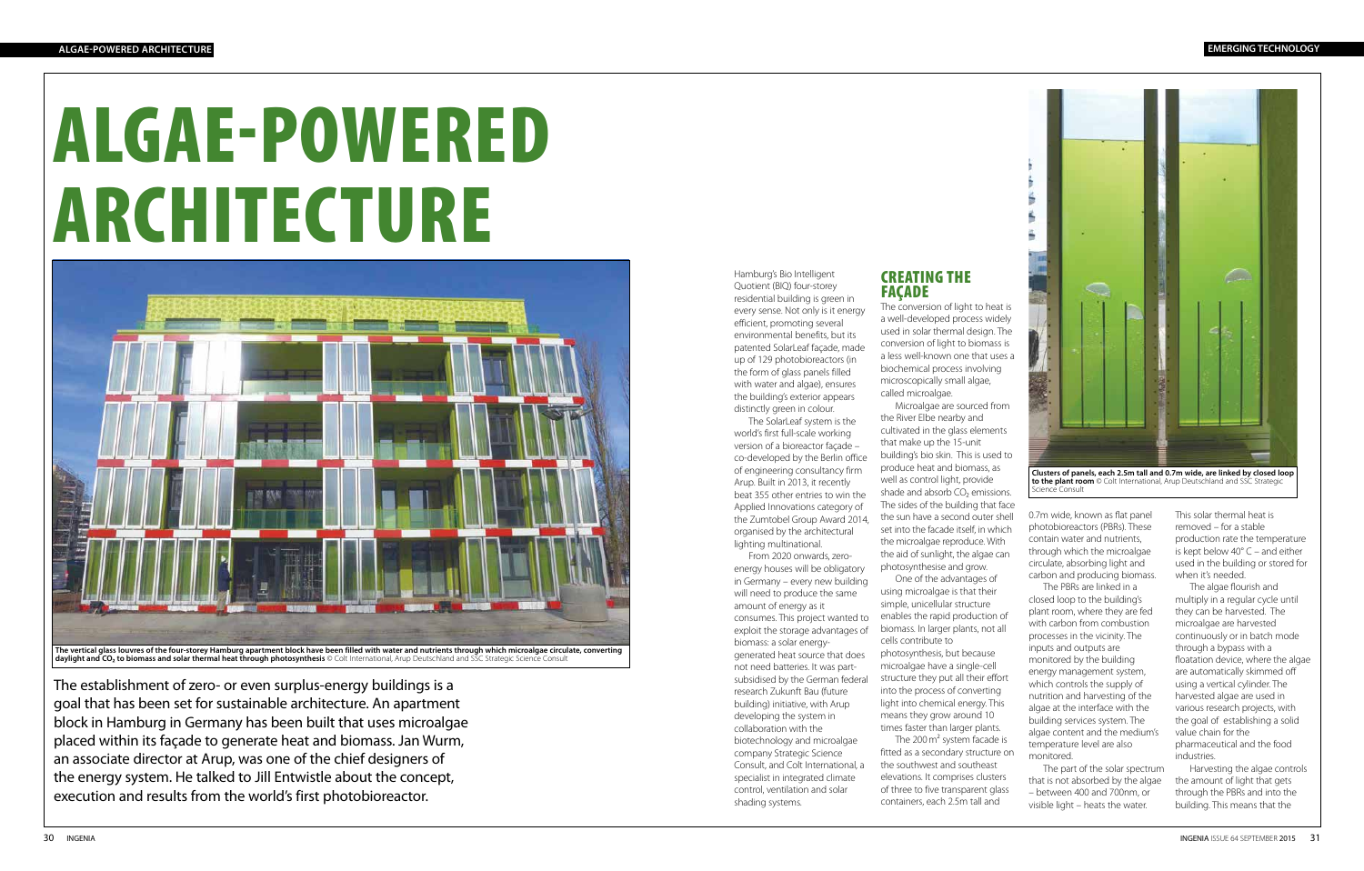## ALGAE-POWERED ARCHITECTURE

The establishment of zero- or even surplus-energy buildings is a goal that has been set for sustainable architecture. An apartment block in Hamburg in Germany has been built that uses microalgae placed within its façade to generate heat and biomass. Jan Wurm, an associate director at Arup, was one of the chief designers of the energy system. He talked to Jill Entwistle about the concept, execution and results from the world's first photobioreactor.

Hamburg's Bio Intelligent Quotient (BIQ) four-storey residential building is green in every sense. Not only is it energy efficient, promoting several environmental benefits, but its patented SolarLeaf façade, made up of 129 photobioreactors (in the form of glass panels filled with water and algae), ensures the building's exterior appears distinctly green in colour.

The SolarLeaf system is the world's first full-scale working version of a bioreactor façade – co-developed by the Berlin office of engineering consultancy firm Arup. Built in 2013, it recently beat 355 other entries to win the Applied Innovations category of the Zumtobel Group Award 2014, organised by the architectural lighting multinational.

> biomass. In larger plants, not all cells contribute to The 200 m<sup>2</sup> system facade is

From 2020 onwards, zeroenergy houses will be obligatory in Germany – every new building will need to produce the same amount of energy as it consumes. This project wanted to exploit the storage advantages of biomass: a solar energygenerated heat source that does not need batteries. It was partsubsidised by the German federal research Zukunft Bau (future building) initiative, with Arup developing the system in collaboration with the biotechnology and microalgae company Strategic Science Consult, and Colt International, a specialist in integrated climate control, ventilation and solar shading systems.

**FACADE** 

## CREATING THE

The conversion of light to heat is a well-developed process widely used in solar thermal design. The conversion of light to biomass is a less well-known one that uses a biochemical process involving microscopically small algae, called microalgae.



**Clusters of panels, each 2.5m tall and 0.7m wide, are linked by closed loop to the plant room** © Colt International. Arup Deutschland and SSC Strategic **to the plant room**  $\odot$  Colt International, Arup Deutschland and SC Science Consult

Microalgae are sourced from the River Elbe nearby and cultivated in the glass elements that make up the 15-unit building's bio skin. This is used to produce heat and biomass, as well as control light, provide shade and absorb CO<sub>2</sub> emissions. The sides of the building that face the sun have a second outer shell set into the facade itself, in which the microalgae reproduce. With the aid of sunlight, the algae can photosynthesise and grow. One of the advantages of using microalgae is that their

simple, unicellular structure enables the rapid production of

photosynthesis, but because microalgae have a single-cell structure they put all their effort into the process of converting light into chemical energy. This means they grow around 10 times faster than larger plants. fitted as a secondary structure on the southwest and southeast elevations. It comprises clusters of three to five transparent glass containers, each 2.5m tall and

0.7m wide, known as flat panel photobioreactors (PBRs). These contain water and nutrients, through which the microalgae circulate, absorbing light and carbon and producing biomass.

The PBRs are linked in a closed loop to the building's plant room, where they are fed with carbon from combustion processes in the vicinity. The inputs and outputs are monitored by the building energy management system, which controls the supply of nutrition and harvesting of the algae at the interface with the building services system. The algae content and the medium's temperature level are also monitored.

The part of the solar spectrum that is not absorbed by the algae – between 400 and 700nm, or visible light – heats the water.

This solar thermal heat is removed – for a stable production rate the temperature is kept below 40° C – and either used in the building or stored for when it's needed.

The algae flourish and multiply in a regular cycle until they can be harvested. The microalgae are harvested continuously or in batch mode through a bypass with a floatation device, where the algae are automatically skimmed off using a vertical cylinder. The harvested algae are used in various research projects, with the goal of establishing a solid value chain for the pharmaceutical and the food industries.

Harvesting the algae controls the amount of light that gets through the PBRs and into the building. This means that the